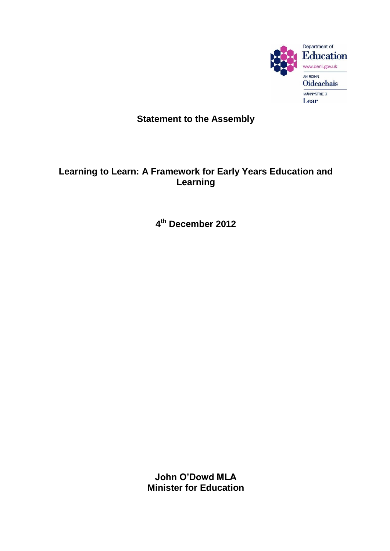

## **Statement to the Assembly**

## **Learning to Learn: A Framework for Early Years Education and Learning**

**4 th December 2012**

**John O'Dowd MLA Minister for Education**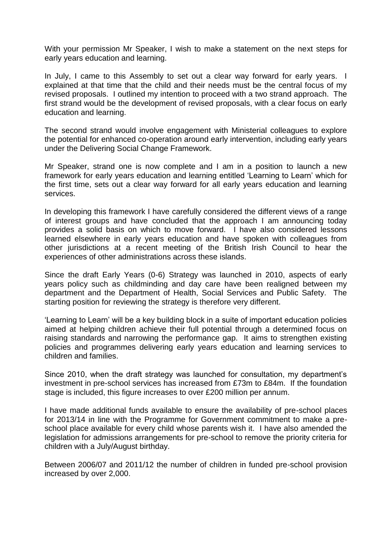With your permission Mr Speaker, I wish to make a statement on the next steps for early years education and learning.

In July, I came to this Assembly to set out a clear way forward for early years. I explained at that time that the child and their needs must be the central focus of my revised proposals. I outlined my intention to proceed with a two strand approach. The first strand would be the development of revised proposals, with a clear focus on early education and learning.

The second strand would involve engagement with Ministerial colleagues to explore the potential for enhanced co-operation around early intervention, including early years under the Delivering Social Change Framework.

Mr Speaker, strand one is now complete and I am in a position to launch a new framework for early years education and learning entitled "Learning to Learn" which for the first time, sets out a clear way forward for all early years education and learning services.

In developing this framework I have carefully considered the different views of a range of interest groups and have concluded that the approach I am announcing today provides a solid basis on which to move forward. I have also considered lessons learned elsewhere in early years education and have spoken with colleagues from other jurisdictions at a recent meeting of the British Irish Council to hear the experiences of other administrations across these islands.

Since the draft Early Years (0-6) Strategy was launched in 2010, aspects of early years policy such as childminding and day care have been realigned between my department and the Department of Health, Social Services and Public Safety. The starting position for reviewing the strategy is therefore very different.

"Learning to Learn" will be a key building block in a suite of important education policies aimed at helping children achieve their full potential through a determined focus on raising standards and narrowing the performance gap. It aims to strengthen existing policies and programmes delivering early years education and learning services to children and families.

Since 2010, when the draft strategy was launched for consultation, my department"s investment in pre-school services has increased from £73m to £84m. If the foundation stage is included, this figure increases to over £200 million per annum.

I have made additional funds available to ensure the availability of pre-school places for 2013/14 in line with the Programme for Government commitment to make a preschool place available for every child whose parents wish it. I have also amended the legislation for admissions arrangements for pre-school to remove the priority criteria for children with a July/August birthday.

Between 2006/07 and 2011/12 the number of children in funded pre-school provision increased by over 2,000.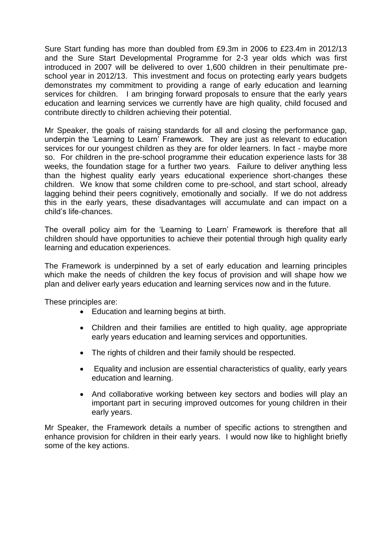Sure Start funding has more than doubled from £9.3m in 2006 to £23.4m in 2012/13 and the Sure Start Developmental Programme for 2-3 year olds which was first introduced in 2007 will be delivered to over 1,600 children in their penultimate preschool year in 2012/13. This investment and focus on protecting early years budgets demonstrates my commitment to providing a range of early education and learning services for children. I am bringing forward proposals to ensure that the early years education and learning services we currently have are high quality, child focused and contribute directly to children achieving their potential.

Mr Speaker, the goals of raising standards for all and closing the performance gap, underpin the "Learning to Learn" Framework. They are just as relevant to education services for our youngest children as they are for older learners. In fact - maybe more so. For children in the pre-school programme their education experience lasts for 38 weeks, the foundation stage for a further two years. Failure to deliver anything less than the highest quality early years educational experience short-changes these children. We know that some children come to pre-school, and start school, already lagging behind their peers cognitively, emotionally and socially. If we do not address this in the early years, these disadvantages will accumulate and can impact on a child"s life-chances.

The overall policy aim for the "Learning to Learn" Framework is therefore that all children should have opportunities to achieve their potential through high quality early learning and education experiences.

The Framework is underpinned by a set of early education and learning principles which make the needs of children the key focus of provision and will shape how we plan and deliver early years education and learning services now and in the future.

These principles are:

- Education and learning begins at birth.
- Children and their families are entitled to high quality, age appropriate early years education and learning services and opportunities.
- The rights of children and their family should be respected.
- Equality and inclusion are essential characteristics of quality, early years education and learning.
- And collaborative working between key sectors and bodies will play an important part in securing improved outcomes for young children in their early years.

Mr Speaker, the Framework details a number of specific actions to strengthen and enhance provision for children in their early years. I would now like to highlight briefly some of the key actions.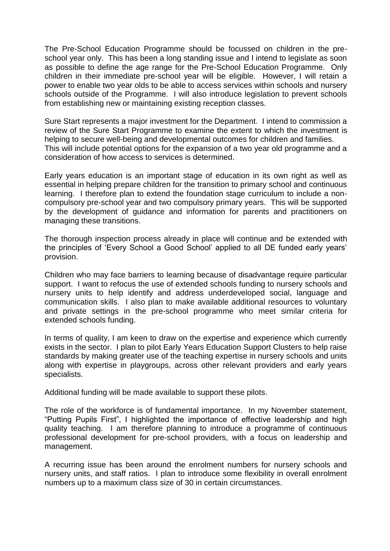The Pre-School Education Programme should be focussed on children in the preschool year only. This has been a long standing issue and I intend to legislate as soon as possible to define the age range for the Pre-School Education Programme. Only children in their immediate pre-school year will be eligible. However, I will retain a power to enable two year olds to be able to access services within schools and nursery schools outside of the Programme. I will also introduce legislation to prevent schools from establishing new or maintaining existing reception classes.

Sure Start represents a major investment for the Department. I intend to commission a review of the Sure Start Programme to examine the extent to which the investment is helping to secure well-being and developmental outcomes for children and families. This will include potential options for the expansion of a two year old programme and a consideration of how access to services is determined.

Early years education is an important stage of education in its own right as well as essential in helping prepare children for the transition to primary school and continuous learning. I therefore plan to extend the foundation stage curriculum to include a noncompulsory pre-school year and two compulsory primary years. This will be supported by the development of guidance and information for parents and practitioners on managing these transitions.

The thorough inspection process already in place will continue and be extended with the principles of "Every School a Good School" applied to all DE funded early years" provision.

Children who may face barriers to learning because of disadvantage require particular support. I want to refocus the use of extended schools funding to nursery schools and nursery units to help identify and address underdeveloped social, language and communication skills. I also plan to make available additional resources to voluntary and private settings in the pre-school programme who meet similar criteria for extended schools funding.

In terms of quality, I am keen to draw on the expertise and experience which currently exists in the sector. I plan to pilot Early Years Education Support Clusters to help raise standards by making greater use of the teaching expertise in nursery schools and units along with expertise in playgroups, across other relevant providers and early years specialists.

Additional funding will be made available to support these pilots.

The role of the workforce is of fundamental importance. In my November statement, "Putting Pupils First", I highlighted the importance of effective leadership and high quality teaching. I am therefore planning to introduce a programme of continuous professional development for pre-school providers, with a focus on leadership and management.

A recurring issue has been around the enrolment numbers for nursery schools and nursery units, and staff ratios. I plan to introduce some flexibility in overall enrolment numbers up to a maximum class size of 30 in certain circumstances.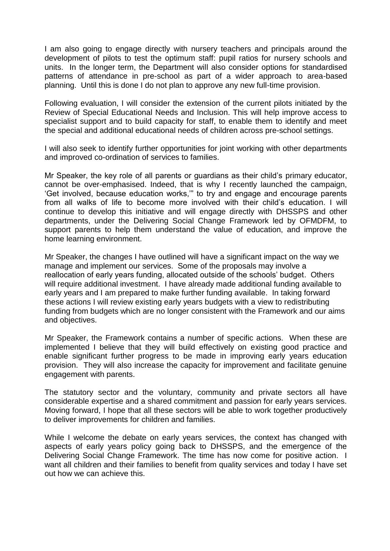I am also going to engage directly with nursery teachers and principals around the development of pilots to test the optimum staff: pupil ratios for nursery schools and units. In the longer term, the Department will also consider options for standardised patterns of attendance in pre-school as part of a wider approach to area-based planning. Until this is done I do not plan to approve any new full-time provision.

Following evaluation, I will consider the extension of the current pilots initiated by the Review of Special Educational Needs and Inclusion. This will help improve access to specialist support and to build capacity for staff, to enable them to identify and meet the special and additional educational needs of children across pre-school settings.

I will also seek to identify further opportunities for joint working with other departments and improved co-ordination of services to families.

Mr Speaker, the key role of all parents or guardians as their child"s primary educator, cannot be over-emphasised. Indeed, that is why I recently launched the campaign, "Get involved, because education works,"" to try and engage and encourage parents from all walks of life to become more involved with their child"s education. I will continue to develop this initiative and will engage directly with DHSSPS and other departments, under the Delivering Social Change Framework led by OFMDFM, to support parents to help them understand the value of education, and improve the home learning environment.

Mr Speaker, the changes I have outlined will have a significant impact on the way we manage and implement our services. Some of the proposals may involve a reallocation of early years funding, allocated outside of the schools" budget. Others will require additional investment. I have already made additional funding available to early years and I am prepared to make further funding available. In taking forward these actions I will review existing early years budgets with a view to redistributing funding from budgets which are no longer consistent with the Framework and our aims and objectives.

Mr Speaker, the Framework contains a number of specific actions. When these are implemented I believe that they will build effectively on existing good practice and enable significant further progress to be made in improving early years education provision. They will also increase the capacity for improvement and facilitate genuine engagement with parents.

The statutory sector and the voluntary, community and private sectors all have considerable expertise and a shared commitment and passion for early years services. Moving forward, I hope that all these sectors will be able to work together productively to deliver improvements for children and families.

While I welcome the debate on early years services, the context has changed with aspects of early years policy going back to DHSSPS, and the emergence of the Delivering Social Change Framework. The time has now come for positive action. I want all children and their families to benefit from quality services and today I have set out how we can achieve this.